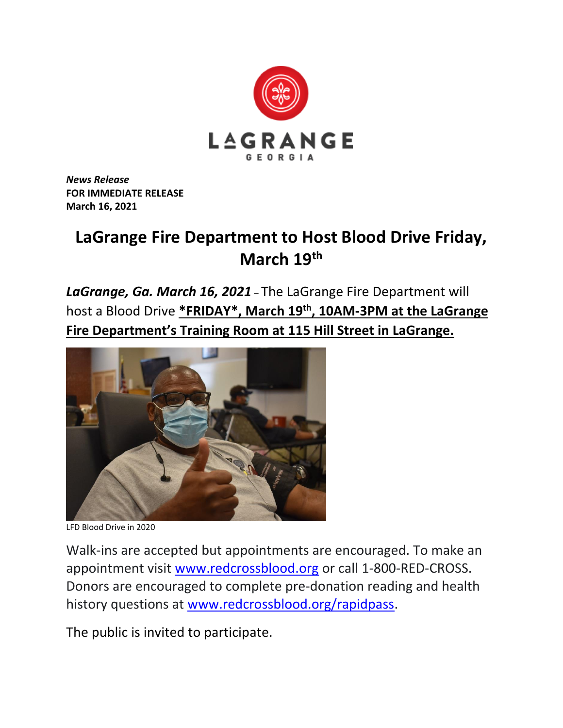

*News Release* **FOR IMMEDIATE RELEASE March 16, 2021**

## **LaGrange Fire Department to Host Blood Drive Friday, March 19th**

*LaGrange, Ga. March 16, 2021* – The LaGrange Fire Department will host a Blood Drive **\*FRIDAY\*, March 19th, 10AM-3PM at the LaGrange Fire Department's Training Room at 115 Hill Street in LaGrange.**



LFD Blood Drive in 2020

Walk-ins are accepted but appointments are encouraged. To make an appointment visit [www.redcrossblood.org](http://www.redcrossblood.org/) or call 1-800-RED-CROSS. Donors are encouraged to complete pre-donation reading and health history questions at [www.redcrossblood.org/rapidpass.](http://www.redcrossblood.org/rapidpass)

The public is invited to participate.